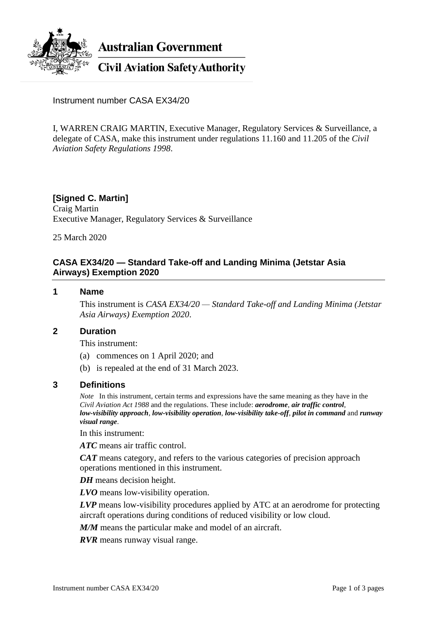

**Australian Government** 

**Civil Aviation Safety Authority** 

Instrument number CASA EX34/20

I, WARREN CRAIG MARTIN, Executive Manager, Regulatory Services & Surveillance, a delegate of CASA, make this instrument under regulations 11.160 and 11.205 of the *Civil Aviation Safety Regulations 1998*.

# **[Signed C. Martin]**

Craig Martin Executive Manager, Regulatory Services & Surveillance

25 March 2020

# **CASA EX34/20 — Standard Take-off and Landing Minima (Jetstar Asia Airways) Exemption 2020**

#### **1 Name**

This instrument is *CASA EX34/20 — Standard Take-off and Landing Minima (Jetstar Asia Airways) Exemption 2020*.

#### **2 Duration**

This instrument:

- (a) commences on 1 April 2020; and
- (b) is repealed at the end of 31 March 2023.

## **3 Definitions**

*Note* In this instrument, certain terms and expressions have the same meaning as they have in the *Civil Aviation Act 1988* and the regulations. These include: *aerodrome*, *air traffic control*, *low-visibility approach*, *low-visibility operation*, *low-visibility take-off*, *pilot in command* and *runway visual range*.

In this instrument:

*ATC* means air traffic control.

*CAT* means category, and refers to the various categories of precision approach operations mentioned in this instrument.

*DH* means decision height.

*LVO* means low-visibility operation.

*LVP* means low-visibility procedures applied by ATC at an aerodrome for protecting aircraft operations during conditions of reduced visibility or low cloud.

*M/M* means the particular make and model of an aircraft.

*RVR* means runway visual range.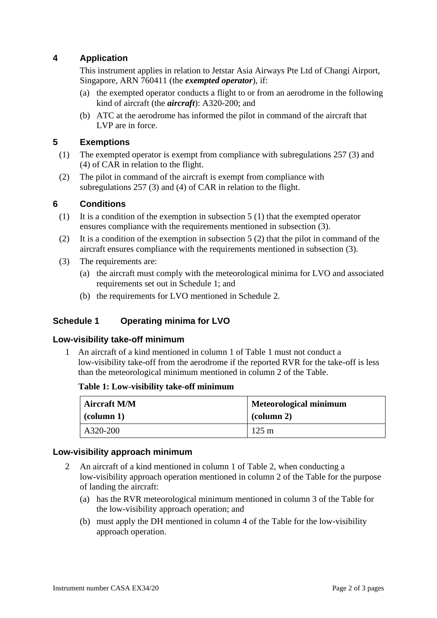# **4 Application**

This instrument applies in relation to Jetstar Asia Airways Pte Ltd of Changi Airport, Singapore, ARN 760411 (the *exempted operator*), if:

- (a) the exempted operator conducts a flight to or from an aerodrome in the following kind of aircraft (the *aircraft*): A320-200; and
- (b) ATC at the aerodrome has informed the pilot in command of the aircraft that LVP are in force.

# **5 Exemptions**

- (1) The exempted operator is exempt from compliance with subregulations 257 (3) and (4) of CAR in relation to the flight.
- (2) The pilot in command of the aircraft is exempt from compliance with subregulations 257 (3) and (4) of CAR in relation to the flight.

# **6 Conditions**

- (1) It is a condition of the exemption in subsection 5 (1) that the exempted operator ensures compliance with the requirements mentioned in subsection (3).
- (2) It is a condition of the exemption in subsection 5 (2) that the pilot in command of the aircraft ensures compliance with the requirements mentioned in subsection (3).
- (3) The requirements are:
	- (a) the aircraft must comply with the meteorological minima for LVO and associated requirements set out in Schedule 1; and
	- (b) the requirements for LVO mentioned in Schedule 2.

# **Schedule 1 Operating minima for LVO**

## **Low-visibility take-off minimum**

1 An aircraft of a kind mentioned in column 1 of Table 1 must not conduct a low-visibility take-off from the aerodrome if the reported RVR for the take-off is less than the meteorological minimum mentioned in column 2 of the Table.

#### **Table 1: Low-visibility take-off minimum**

| <b>Aircraft M/M</b> | Meteorological minimum |
|---------------------|------------------------|
| $\vert$ (column 1)  | $\alpha$ (column 2)    |
| A320-200            | $125 \text{ m}$        |

## **Low-visibility approach minimum**

- 2 An aircraft of a kind mentioned in column 1 of Table 2, when conducting a low-visibility approach operation mentioned in column 2 of the Table for the purpose of landing the aircraft:
	- (a) has the RVR meteorological minimum mentioned in column 3 of the Table for the low-visibility approach operation; and
	- (b) must apply the DH mentioned in column 4 of the Table for the low-visibility approach operation.